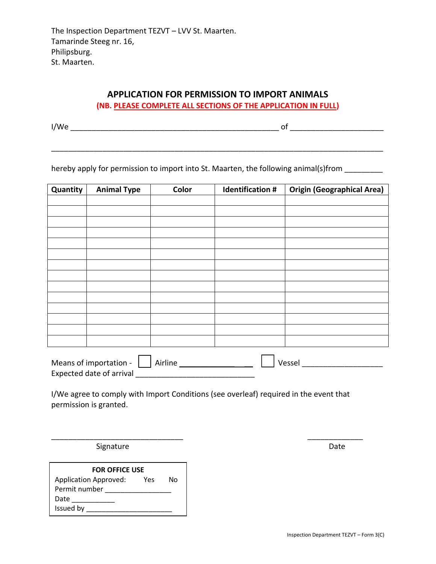## **APPLICATION FOR PERMISSION TO IMPORT ANIMALS (NB. PLEASE COMPLETE ALL SECTIONS OF THE APPLICATION IN FULL)**

\_\_\_\_\_\_\_\_\_\_\_\_\_\_\_\_\_\_\_\_\_\_\_\_\_\_\_\_\_\_\_\_\_\_\_\_\_\_\_\_\_\_\_\_\_\_\_\_\_\_\_\_\_\_\_\_\_\_\_\_\_\_\_\_\_\_\_\_\_\_\_\_\_\_\_\_\_\_

I/We \_\_\_\_\_\_\_\_\_\_\_\_\_\_\_\_\_\_\_\_\_\_\_\_\_\_\_\_\_\_\_\_\_\_\_\_\_\_\_\_\_\_\_\_\_\_\_\_\_ of \_\_\_\_\_\_\_\_\_\_\_\_\_\_\_\_\_\_\_\_\_\_

hereby apply for permission to import into St. Maarten, the following animal(s)from

| Quantity               | <b>Animal Type</b> | Color   | <b>Identification #</b> | <b>Origin (Geographical Area)</b> |  |
|------------------------|--------------------|---------|-------------------------|-----------------------------------|--|
|                        |                    |         |                         |                                   |  |
|                        |                    |         |                         |                                   |  |
|                        |                    |         |                         |                                   |  |
|                        |                    |         |                         |                                   |  |
|                        |                    |         |                         |                                   |  |
|                        |                    |         |                         |                                   |  |
|                        |                    |         |                         |                                   |  |
|                        |                    |         |                         |                                   |  |
|                        |                    |         |                         |                                   |  |
|                        |                    |         |                         |                                   |  |
|                        |                    |         |                         |                                   |  |
|                        |                    |         |                         |                                   |  |
|                        |                    |         |                         |                                   |  |
|                        |                    |         |                         |                                   |  |
|                        |                    |         |                         |                                   |  |
| Means of importation - |                    | Airline |                         | Vessel                            |  |

I/We agree to comply with Import Conditions (see overleaf) required in the event that permission is granted.

\_\_\_\_\_\_\_\_\_\_\_\_\_\_\_\_\_\_\_\_\_\_\_\_\_\_\_\_\_\_\_ \_\_\_\_\_\_\_\_\_\_\_\_\_

Expected date of arrival \_\_\_\_\_\_\_\_\_\_\_\_\_\_\_\_\_\_\_\_\_\_\_\_\_\_\_\_

Signature Date Date Date

| <b>FOR OFFICE USE</b>        |     |    |  |  |  |  |
|------------------------------|-----|----|--|--|--|--|
| <b>Application Approved:</b> | Yes | N٥ |  |  |  |  |
| Permit number                |     |    |  |  |  |  |
| Date                         |     |    |  |  |  |  |
| Issued by                    |     |    |  |  |  |  |